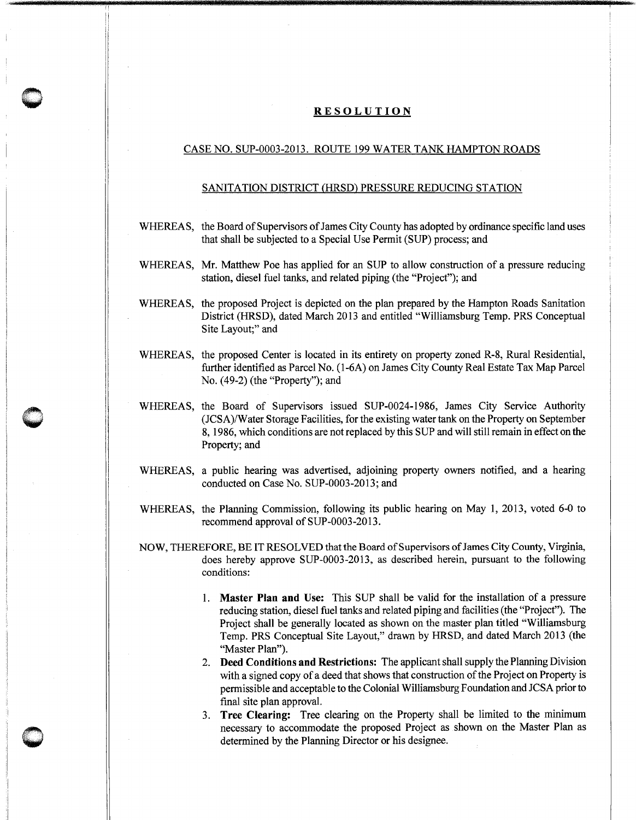## **RESOLUTION**

**0** -

**0** -

## CASE NO. SUP-0003-2013. ROUTE 199 WATER TANK HAMPTON ROADS

## SANITATION DISTRICT (HRSD) PRESSURE REDUCING STATION

- WHEREAS, the Board of Supervisors of James City County has adopted by ordinance specific land uses that shall be subjected to a Special Use Permit (SUP) process; and
- WHEREAS, Mr. Matthew Poe has applied for an SUP to allow construction of a pressure reducing station, diesel fuel tanks, and related piping (the "Project"); and
- WHEREAS, the proposed Project is depicted on the plan prepared by the Hampton Roads Sanitation District (HRSD), dated March 2013 and entitled "Williamsburg Temp. PRS Conceptual Site Layout;" and
- WHEREAS, the proposed Center is located in its entirety on property zoned R-8, Rural Residential, further identified as Parcel No. (1-6A) on James City County Real Estate Tax Map Parcel No. (49-2) (the "Property"); and
- WHEREAS, the Board of Supervisors issued SUP-0024-1986, James City Service Authority (JCSA)/Water Storage Facilities, for the existing water tank on the Property on September 8, 1986, which conditions are not replaced by this SUP and will still remain in effect on the Property; and
- WHEREAS, a public hearing was advertised, adjoining property owners notified, and a hearing conducted on Case No. SUP-0003-2013; and
- WHEREAS, the Planning Commission, following its public hearing on May 1, 2013, voted 6-0 to recommend approval of SUP-0003-2013.
- NOW, THEREFORE, BE IT RESOLVED that the Board of Supervisors of James City County, Virginia, does hereby approve SUP-0003-2013, as described herein, pursuant to the following conditions:
	- 1. **Master Plan and** Use: This SUP shall be valid for the installation of a pressure reducing station, diesel fuel tanks and related piping and facilities (the "Project"). The Project shall be generally located as shown on the master plan titled "Williamsburg Temp. PRS Conceptual Site Layout," drawn by HRSD, and dated March 2013 (the "Master Plan").
	- 2. **Deed Conditions and Restrictions:** The applicant shall supply the Planning Division with a signed copy of a deed that shows that construction of the Project on Property is permissible and acceptable to the Colonial Williamsburg Foundation and JCSA prior to final site plan approval.
	- 3. **Tree Clearing:** Tree clearing on the Property shall be limited to the minimum necessary to accommodate the proposed Project as shown on the Master Plan as determined by the Planning Director or his designee.